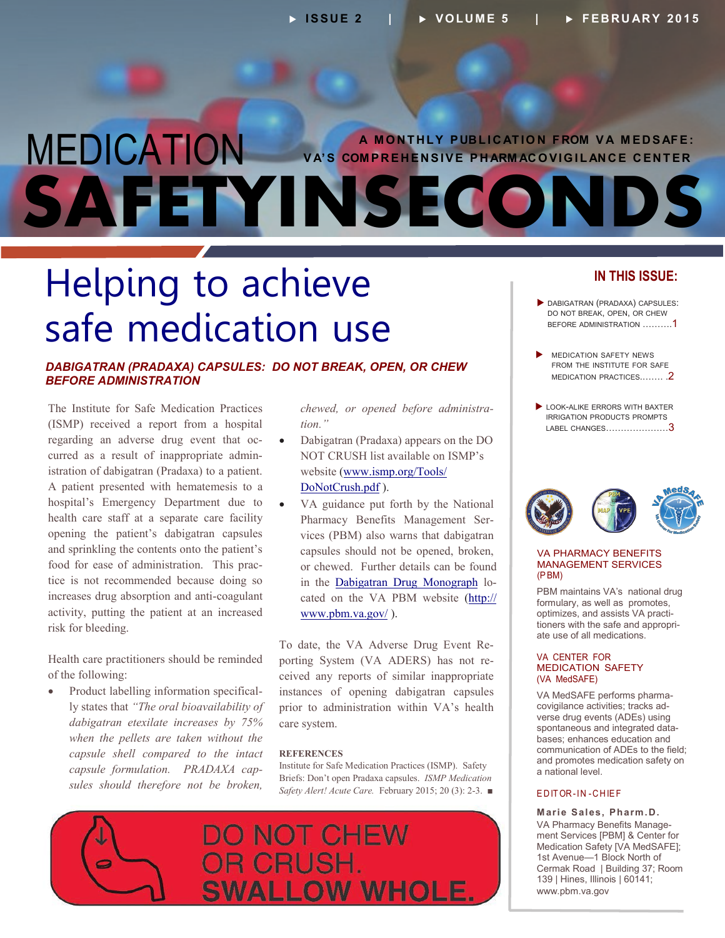### <span id="page-0-0"></span> **A M O N T H L Y P UB L I C AT I O N F ROM V A M E D S AF E :**  MEDICATION **SAFETYINSECONDS VA'S COMPREHENSIVE PHARMACOVIGILANCE CENTER**

# Helping to achieve safe medication use

#### *DABIGATRAN (PRADAXA) CAPSULES: DO NOT BREAK, OPEN, OR CHEW BEFORE ADMINISTRATION*

The Institute for Safe Medication Practices (ISMP) received a report from a hospital regarding an adverse drug event that oc curred as a result of inappropriate admin istration of dabigatran (Pradaxa) to a patient. A patient presented with hematemesis to a hospital's Emergency Department due to health care staff at a separate care facility opening the patient's dabigatran capsules and sprinkling the contents onto the patient's food for ease of administration. This prac tice is not recommended because doing so increases drug absorption and anti-coagulant activity, putting the patient at an increased risk for bleeding.

Health care practitioners should be reminded of the following:

• Product labelling information specifically states that *"The oral bioavailability of dabigatran etexilate increases by 75% when the pellets are taken without the capsule shell compared to the intact capsule formulation. PRADAXA cap sules should therefore not be broken,*

*chewed, or opened before administra tion."* 

- Dabigatran (Pradaxa) appears on the DO NOT CRUSH list available on ISMP's website [\(www.ismp.org/Tools/](http://www.ismp.org/Tools/DoNotCrust.pdf) [DoNotCrush.pdf](http://www.ismp.org/Tools/DoNotCrust.pdf) ).
- Pharmacy Benefits Management Serin the **Dabigatran Drug Monograph** lo- VA guidance put forth by the National vices (PBM) also warns that dabigatran capsules should not be opened, broken, or chewed. Further details can be found cated on the VA PBM website [\(http://](http://www.pbm.va.gov/) [www.pbm.va.gov/](http://www.pbm.va.gov/) ).

- To date, the VA Adverse Drug Event Re porting System (VA ADERS) has not received any reports of similar inappropriate instances of opening dabigatran capsules prior to administration within VA's health care system.

#### **REFERENCES**

Institute for Safe Medication Practices (ISMP). Safety Briefs: Don't open Pradaxa capsules. *ISMP Medication Safety Alert! Acute Care.* February 2015; 20 (3): 2-3. ■



#### **IN THIS ISSUE:**

- DABIGATRAN (PRADAXA) CAPSULES: DO NOT BREAK, OPEN, OR CHEW [BEFORE ADMINISTRATION ……….1](#page-0-0)
- MEDICATION SAFETY NEWS FROM THE INSTITUTE FOR SAFE [MEDICATION PRACTICES.……. .2](#page-1-0)
- LOOK-ALIKE ERRORS WITH BAXTER IRRIGATION PRODUCTS PROMPTS [LABEL CHANGES…………………3](#page-2-0)



#### VA PHARMACY BENEFITS MANAGEMENT SERVICES (P BM)

PBM maintains VA's national drug formulary, as well as promotes, optimizes, and assists VA practi tioners with the safe and appropri ate use of all medications.

#### VA CENTER FOR MEDICATION SAFETY (VA MedSAFE)

VA MedSAFE performs pharma covigilance activities; tracks ad verse drug events (ADEs) using spontaneous and integrated data bases; enhances education and communication of ADEs to the field; and promotes medication safety on a national level.

#### E D IT OR - IN - C H IE F

**Marie Sales, Pharm.D.**  VA Pharmacy Benefits Manage ment Services [PBM] & Center for Medication Safety [VA MedSAFE]; 1st Avenue—1 Block North of Cermak Road | Building 37; Room 139 | Hines, Illinois | 60141; [www.pbm.va.gov](http://www.pbm.va.gov)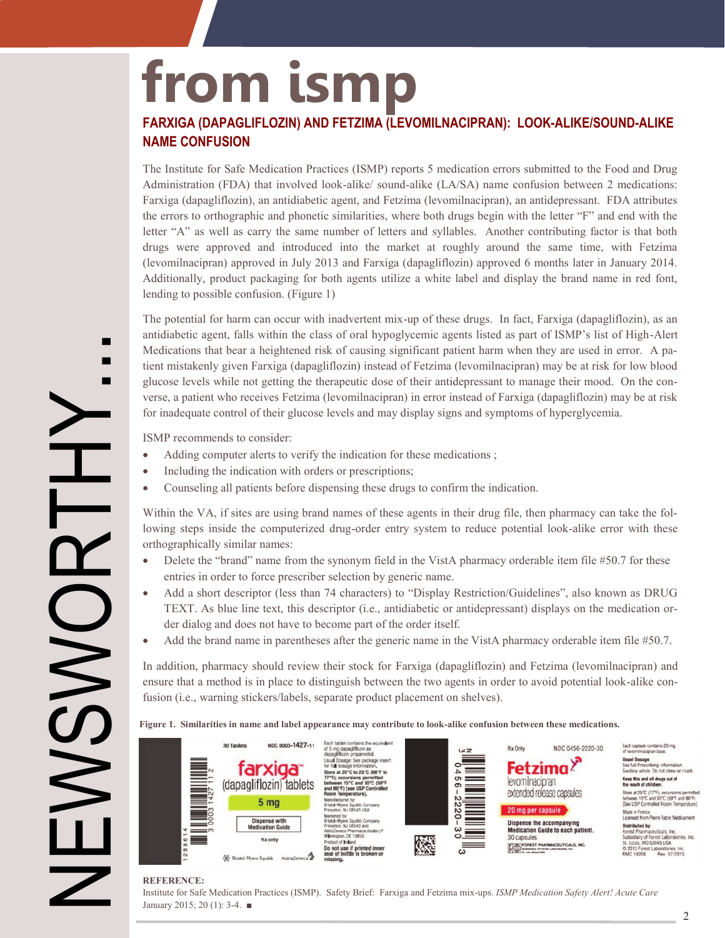# <span id="page-1-0"></span>**from ismp**

#### **FARXIGA (DAPAGLIFLOZIN) AND FETZIMA (LEVOMILNACIPRAN): LOOK-ALIKE/SOUND-ALIKE NAME CONFUSION**

 The Institute for Safe Medication Practices (ISMP) reports 5 medication errors submitted to the Food and Drug Administration (FDA) that involved look-alike/ sound-alike (LA/SA) name confusion between 2 medications: Farxiga (dapagliflozin), an antidiabetic agent, and Fetzima (levomilnacipran), an antidepressant. FDA attributes the errors to orthographic and phonetic similarities, where both drugs begin with the letter "F" and end with the letter "A" as well as carry the same number of letters and syllables. Another contributing factor is that both drugs were approved and introduced into the market at roughly around the same time, with Fetzima (levomilnacipran) approved in July 2013 and Farxiga (dapagliflozin) approved 6 months later in January 2014. Additionally, product packaging for both agents utilize a white label and display the brand name in red font, lending to possible confusion. (Figure 1)

The potential for harm can occur with inadvertent mix-up of these drugs. In fact, Farxiga (dapagliflozin), as an antidiabetic agent, falls within the class of oral hypoglycemic agents listed as part of ISMP's list of High-Alert Medications that bear a heightened risk of causing significant patient harm when they are used in error. A pa tient mistakenly given Farxiga (dapagliflozin) instead of Fetzima (levomilnacipran) may be at risk for low blood glucose levels while not getting the therapeutic dose of their antidepressant to manage their mood. On the con verse, a patient who receives Fetzima (levomilnacipran) in error instead of Farxiga (dapagliflozin) may be at risk for inadequate control of their glucose levels and may display signs and symptoms of hyperglycemia.

ISMP recommends to consider:

- Adding computer alerts to verify the indication for these medications;
- Including the indication with orders or prescriptions;
- Counseling all patients before dispensing these drugs to confirm the indication.

Within the VA, if sites are using brand names of these agents in their drug file, then pharmacy can take the following steps inside the computerized drug-order entry system to reduce potential look-alike error with these orthographically similar names:

- Delete the "brand" name from the synonym field in the VistA pharmacy orderable item file #50.7 for these entries in order to force prescriber selection by generic name.
- TEXT. As blue line text, this descriptor (i.e., antidiabetic or antidepressant) displays on the medication or Add a short descriptor (less than 74 characters) to "Display Restriction/Guidelines", also known as DRUG der dialog and does not have to become part of the order itself.
- Add the brand name in parentheses after the generic name in the VistA pharmacy orderable item file #50.7.

- ensure that a method is in place to distinguish between the two agents in order to avoid potential look-alike con In addition, pharmacy should review their stock for Farxiga (dapagliflozin) and Fetzima (levomilnacipran) and fusion (i.e., warning stickers/labels, separate product placement on shelves).

#### Figure 1. Similarities in name and label appearance may contribute to look-alike confusion between these medications.



#### **REFERENCE:**

Institute for Safe Medication Practices (ISMP). Safety Brief: Farxiga and Fetzima mix-ups. *ISMP Medication Safety Alert! Acute Care*  January 2015; 20 (1): 3-4. ■

NEWSWORTHY... DONG  $\sum \limits$ 

П П